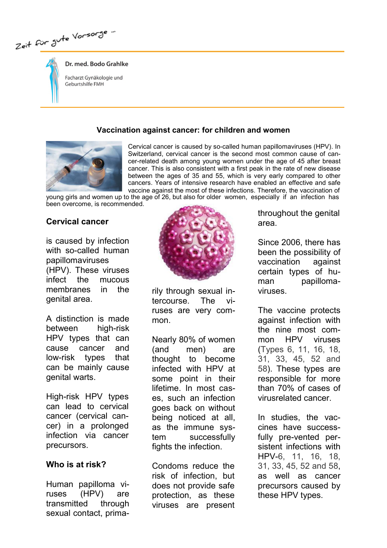Zeit für Jute Vorsorge "



# Dr. med. Bodo Grahlke

Facharzt Gynäkologie und Geburtshilfe FMH

#### Vaccination against cancer: for children and women



Cervical cancer is caused by so-called human papillomaviruses (HPV). In Switzerland, cervical cancer is the second most common cause of cancer-related death among young women under the age of 45 after breast cancer. This is also consistent with a first peak in the rate of new disease between the ages of 35 and 55, which is very early compared to other cancers. Years of intensive research have enabled an effective and safe vaccine against the most of these infections. Therefore, the vaccination of

young girls and women up to the age of 26, but also for older women, especially if an infection has been overcome, is recommended.

#### Cervical cancer

is caused by infection with so-called human papillomaviruses (HPV). These viruses infect the mucous membranes in the genital area.

A distinction is made between high-risk HPV types that can cause cancer and low-risk types that can be mainly cause genital warts.

High-risk HPV types can lead to cervical cancer (cervical cancer) in a prolonged infection via cancer precursors.

#### Who is at risk?

Human papilloma viruses (HPV) are transmitted through sexual contact, prima-



rily through sexual intercourse. The viruses are very common.

Nearly 80% of women (and men) are thought to become infected with HPV at some point in their lifetime. In most cases, such an infection goes back on without being noticed at all, as the immune system successfully fights the infection.

Condoms reduce the risk of infection, but does not provide safe protection, as these viruses are present

throughout the genital area.

Since 2006, there has been the possibility of vaccination against certain types of human papillomaviruses.

The vaccine protects against infection with the nine most common HPV viruses (Types 6, 11, 16, 18, 31, 33, 45, 52 and 58). These types are responsible for more than 70% of cases of virusrelated cancer.

In studies, the vaccines have successfully pre-vented persistent infections with HPV-6, 11, 16, 18, 31, 33, 45, 52 and 58, as well as cancer precursors caused by these HPV types.